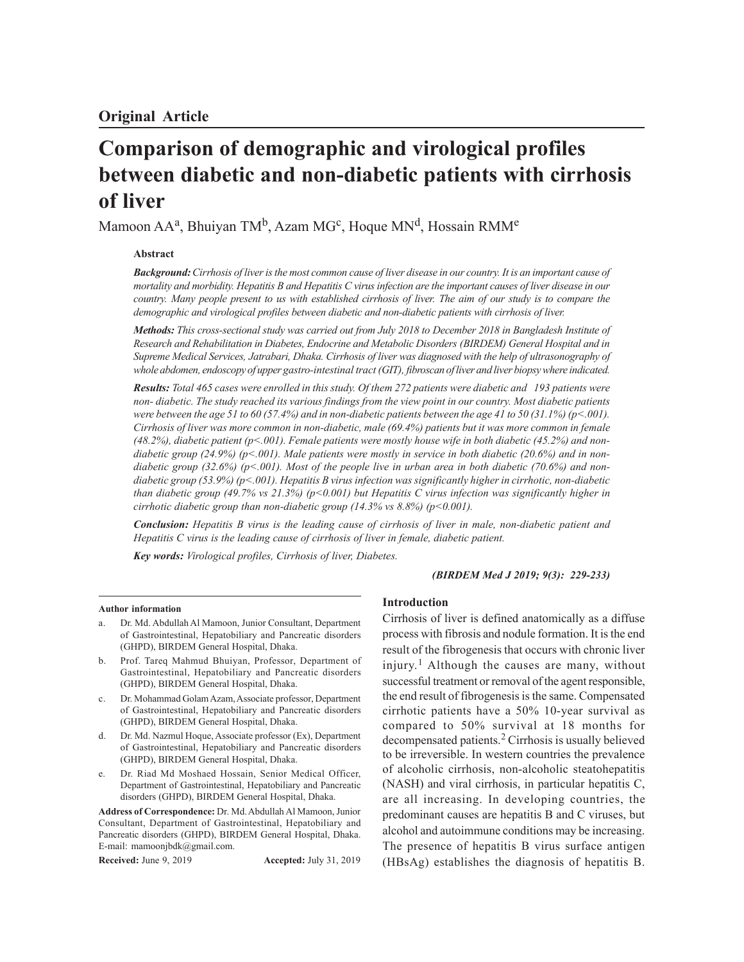# **Comparison of demographic and virological profiles between diabetic and non-diabetic patients with cirrhosis of liver**

Mamoon AAª, Bhuiyan TM<sup>b</sup>, Azam MG<sup>c</sup>, Hoque MN<sup>d</sup>, Hossain RMM<sup>e</sup>

## **Abstract**

*Background: Cirrhosis of liver is the most common cause of liver disease in our country. It is an important cause of mortality and morbidity. Hepatitis B and Hepatitis C virus infection are the important causes of liver disease in our country. Many people present to us with established cirrhosis of liver. The aim of our study is to compare the demographic and virological profiles between diabetic and non-diabetic patients with cirrhosis of liver.*

*Methods: This cross-sectional study was carried out from July 2018 to December 2018 in Bangladesh Institute of Research and Rehabilitation in Diabetes, Endocrine and Metabolic Disorders (BIRDEM) General Hospital and in Supreme Medical Services, Jatrabari, Dhaka. Cirrhosis of liver was diagnosed with the help of ultrasonography of whole abdomen, endoscopy of upper gastro-intestinal tract (GIT), fibroscan of liver and liver biopsy where indicated.*

*Results: Total 465 cases were enrolled in this study. Of them 272 patients were diabetic and 193 patients were non- diabetic. The study reached its various findings from the view point in our country. Most diabetic patients were between the age 51 to 60 (57.4%) and in non-diabetic patients between the age 41 to 50 (31.1%) (p<.001). Cirrhosis of liver was more common in non-diabetic, male (69.4%) patients but it was more common in female (48.2%), diabetic patient (p<.001). Female patients were mostly house wife in both diabetic (45.2%) and nondiabetic group (24.9%) (p<.001). Male patients were mostly in service in both diabetic (20.6%) and in nondiabetic group (32.6%) (p<.001). Most of the people live in urban area in both diabetic (70.6%) and nondiabetic group (53.9%) (p<.001). Hepatitis B virus infection was significantly higher in cirrhotic, non-diabetic than diabetic group (49.7% vs 21.3%) (p<0.001) but Hepatitis C virus infection was significantly higher in cirrhotic diabetic group than non-diabetic group (14.3% vs 8.8%) (p<0.001).*

*Conclusion: Hepatitis B virus is the leading cause of cirrhosis of liver in male, non-diabetic patient and Hepatitis C virus is the leading cause of cirrhosis of liver in female, diabetic patient.*

*Key words: Virological profiles, Cirrhosis of liver, Diabetes.*

#### *(BIRDEM Med J 2019; 9(3): 229-233)*

#### **Author information**

- Dr. Md. Abdullah Al Mamoon, Junior Consultant, Department of Gastrointestinal, Hepatobiliary and Pancreatic disorders (GHPD), BIRDEM General Hospital, Dhaka.
- b. Prof. Tareq Mahmud Bhuiyan, Professor, Department of Gastrointestinal, Hepatobiliary and Pancreatic disorders (GHPD), BIRDEM General Hospital, Dhaka.
- Dr. Mohammad Golam Azam, Associate professor, Department of Gastrointestinal, Hepatobiliary and Pancreatic disorders (GHPD), BIRDEM General Hospital, Dhaka.
- d. Dr. Md. Nazmul Hoque, Associate professor (Ex), Department of Gastrointestinal, Hepatobiliary and Pancreatic disorders (GHPD), BIRDEM General Hospital, Dhaka.
- e. Dr. Riad Md Moshaed Hossain, Senior Medical Officer, Department of Gastrointestinal, Hepatobiliary and Pancreatic disorders (GHPD), BIRDEM General Hospital, Dhaka.

**Address of Correspondence:** Dr. Md. Abdullah Al Mamoon, Junior Consultant, Department of Gastrointestinal, Hepatobiliary and Pancreatic disorders (GHPD), BIRDEM General Hospital, Dhaka. E-mail: mamoonjbdk@gmail.com.

**Received:** June 9, 2019 **Accepted:** July 31, 2019

#### **Introduction**

Cirrhosis of liver is defined anatomically as a diffuse process with fibrosis and nodule formation. It is the end result of the fibrogenesis that occurs with chronic liver injury. <sup>1</sup> Although the causes are many, without successful treatment or removal of the agent responsible, the end result of fibrogenesis is the same. Compensated cirrhotic patients have a 50% 10-year survival as compared to 50% survival at 18 months for decompensated patients.<sup>2</sup> Cirrhosis is usually believed to be irreversible. In western countries the prevalence of alcoholic cirrhosis, non-alcoholic steatohepatitis (NASH) and viral cirrhosis, in particular hepatitis C, are all increasing. In developing countries, the predominant causes are hepatitis B and C viruses, but alcohol and autoimmune conditions may be increasing. The presence of hepatitis B virus surface antigen (HBsAg) establishes the diagnosis of hepatitis B.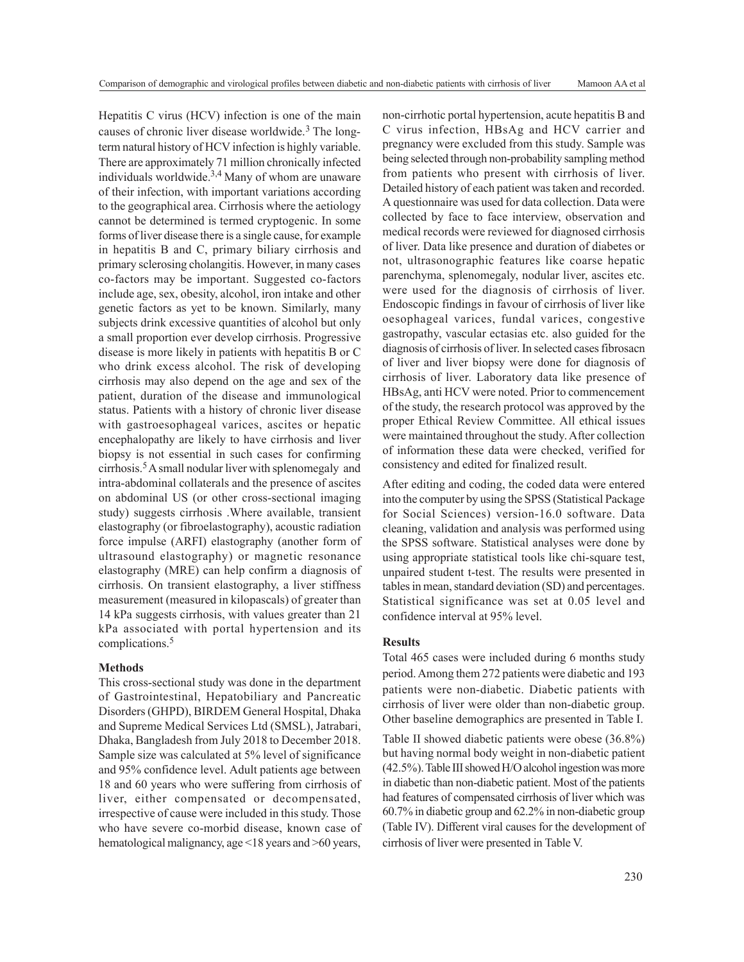Hepatitis C virus (HCV) infection is one of the main causes of chronic liver disease worldwide.<sup>3</sup> The longterm natural history of HCV infection is highly variable. There are approximately 71 million chronically infected individuals worldwide.<sup>3,4</sup> Many of whom are unaware of their infection, with important variations according to the geographical area. Cirrhosis where the aetiology cannot be determined is termed cryptogenic. In some forms of liver disease there is a single cause, for example in hepatitis B and C, primary biliary cirrhosis and primary sclerosing cholangitis. However, in many cases co-factors may be important. Suggested co-factors include age, sex, obesity, alcohol, iron intake and other genetic factors as yet to be known. Similarly, many subjects drink excessive quantities of alcohol but only a small proportion ever develop cirrhosis. Progressive disease is more likely in patients with hepatitis B or C who drink excess alcohol. The risk of developing cirrhosis may also depend on the age and sex of the patient, duration of the disease and immunological status. Patients with a history of chronic liver disease with gastroesophageal varices, ascites or hepatic encephalopathy are likely to have cirrhosis and liver biopsy is not essential in such cases for confirming cirrhosis.<sup>5</sup> A small nodular liver with splenomegaly and intra-abdominal collaterals and the presence of ascites on abdominal US (or other cross-sectional imaging study) suggests cirrhosis .Where available, transient elastography (or fibroelastography), acoustic radiation force impulse (ARFI) elastography (another form of ultrasound elastography) or magnetic resonance elastography (MRE) can help confirm a diagnosis of cirrhosis. On transient elastography, a liver stiffness measurement (measured in kilopascals) of greater than 14 kPa suggests cirrhosis, with values greater than 21 kPa associated with portal hypertension and its complications.<sup>5</sup>

### **Methods**

This cross-sectional study was done in the department of Gastrointestinal, Hepatobiliary and Pancreatic Disorders (GHPD), BIRDEM General Hospital, Dhaka and Supreme Medical Services Ltd (SMSL), Jatrabari, Dhaka, Bangladesh from July 2018 to December 2018. Sample size was calculated at 5% level of significance and 95% confidence level. Adult patients age between 18 and 60 years who were suffering from cirrhosis of liver, either compensated or decompensated, irrespective of cause were included in this study. Those who have severe co-morbid disease, known case of hematological malignancy, age <18 years and >60 years,

non-cirrhotic portal hypertension, acute hepatitis B and C virus infection, HBsAg and HCV carrier and pregnancy were excluded from this study. Sample was being selected through non-probability sampling method from patients who present with cirrhosis of liver. Detailed history of each patient was taken and recorded. A questionnaire was used for data collection. Data were collected by face to face interview, observation and medical records were reviewed for diagnosed cirrhosis of liver. Data like presence and duration of diabetes or not, ultrasonographic features like coarse hepatic parenchyma, splenomegaly, nodular liver, ascites etc. were used for the diagnosis of cirrhosis of liver. Endoscopic findings in favour of cirrhosis of liver like oesophageal varices, fundal varices, congestive gastropathy, vascular ectasias etc. also guided for the diagnosis of cirrhosis of liver. In selected cases fibrosacn of liver and liver biopsy were done for diagnosis of cirrhosis of liver. Laboratory data like presence of HBsAg, anti HCV were noted. Prior to commencement of the study, the research protocol was approved by the proper Ethical Review Committee. All ethical issues were maintained throughout the study. After collection of information these data were checked, verified for consistency and edited for finalized result.

After editing and coding, the coded data were entered into the computer by using the SPSS (Statistical Package for Social Sciences) version-16.0 software. Data cleaning, validation and analysis was performed using the SPSS software. Statistical analyses were done by using appropriate statistical tools like chi-square test, unpaired student t-test. The results were presented in tables in mean, standard deviation (SD) and percentages. Statistical significance was set at 0.05 level and confidence interval at 95% level.

## **Results**

Total 465 cases were included during 6 months study period. Among them 272 patients were diabetic and 193 patients were non-diabetic. Diabetic patients with cirrhosis of liver were older than non-diabetic group. Other baseline demographics are presented in Table I.

Table II showed diabetic patients were obese (36.8%) but having normal body weight in non-diabetic patient (42.5%). Table III showed H/O alcohol ingestion was more in diabetic than non-diabetic patient. Most of the patients had features of compensated cirrhosis of liver which was 60.7% in diabetic group and 62.2% in non-diabetic group (Table IV). Different viral causes for the development of cirrhosis of liver were presented in Table V.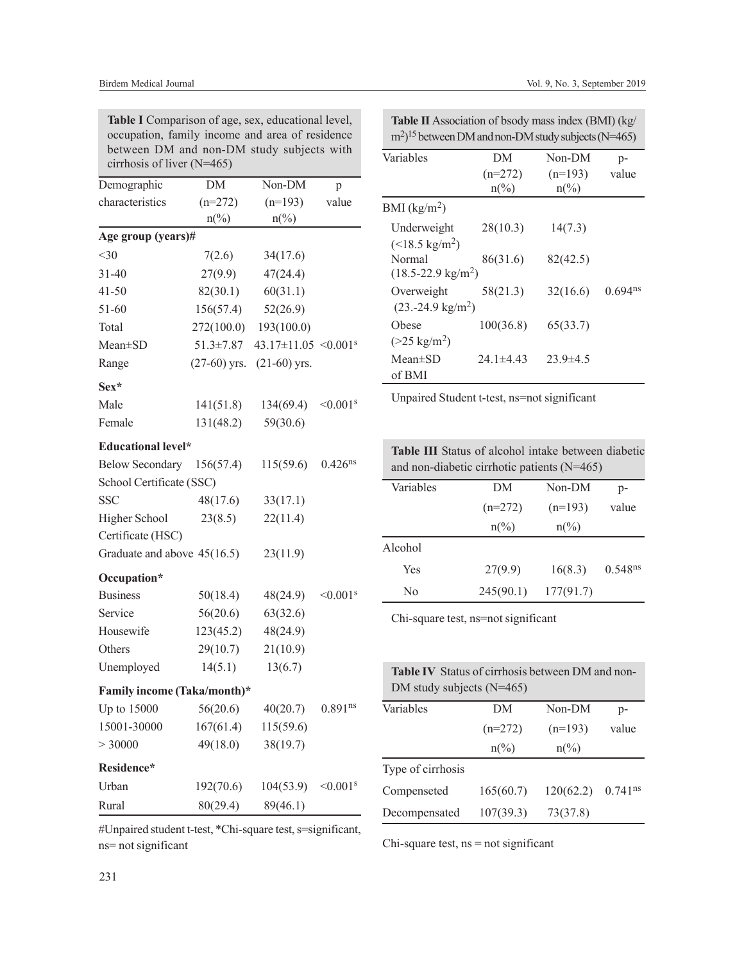| Table I Comparison of age, sex, educational level, |
|----------------------------------------------------|
| occupation, family income and area of residence    |
| between DM and non-DM study subjects with          |
| cirrhosis of liver $(N=465)$                       |

| Demographic                 | DM                          | Non-DM                                 | p                         |
|-----------------------------|-----------------------------|----------------------------------------|---------------------------|
| characteristics             | $(n=272)$                   | $(n=193)$                              | value                     |
|                             | $n\left(\frac{0}{0}\right)$ | $n\left(\frac{0}{0}\right)$            |                           |
| Age group (years)#          |                             |                                        |                           |
| $<$ 30                      | 7(2.6)                      | 34(17.6)                               |                           |
| $31 - 40$                   | 27(9.9)                     | 47(24.4)                               |                           |
| $41 - 50$                   | 82(30.1)                    | 60(31.1)                               |                           |
| 51-60                       | 156(57.4)                   | 52(26.9)                               |                           |
| Total                       | 272(100.0)                  | 193(100.0)                             |                           |
| Mean±SD                     | $51.3 \pm 7.87$             | $43.17 \pm 11.05$ < 0.001 <sup>s</sup> |                           |
| Range                       | $(27-60)$ yrs.              | $(21-60)$ yrs.                         |                           |
| $Sex*$                      |                             |                                        |                           |
| Male                        | 141(51.8)                   | 134(69.4)                              | $< 0.001$ <sup>s</sup>    |
| Female                      | 131(48.2)                   | 59(30.6)                               |                           |
| <b>Educational level*</b>   |                             |                                        |                           |
| Below Secondary 156(57.4)   |                             | 115(59.6)                              | 0.426 <sup>ns</sup>       |
| School Certificate (SSC)    |                             |                                        |                           |
| <b>SSC</b>                  | 48(17.6)                    | 33(17.1)                               |                           |
| Higher School               | 23(8.5)                     | 22(11.4)                               |                           |
| Certificate (HSC)           |                             |                                        |                           |
| Graduate and above 45(16.5) |                             | 23(11.9)                               |                           |
| Occupation*                 |                             |                                        |                           |
| <b>Business</b>             | 50(18.4)                    | 48(24.9)                               | $< 0.001$ <sup>s</sup>    |
| Service                     | 56(20.6)                    | 63(32.6)                               |                           |
| Housewife                   | 123(45.2)                   | 48(24.9)                               |                           |
| Others                      | 29(10.7)                    | 21(10.9)                               |                           |
| Unemployed                  | 14(5.1)                     | 13(6.7)                                |                           |
| Family income (Taka/month)* |                             |                                        |                           |
| Up to 15000                 | 56(20.6)                    | 40(20.7)                               | $0.891$ ns                |
| 15001-30000                 | 167(61.4)                   | 115(59.6)                              |                           |
| > 30000                     | 49(18.0)                    | 38(19.7)                               |                           |
| Residence*                  |                             |                                        |                           |
| Urban                       | 192(70.6)                   | 104(53.9)                              | $\leq 0.001$ <sup>s</sup> |
| Rural                       | 80(29.4)                    | 89(46.1)                               |                           |

| Table II Association of bsody mass index (BMI) (kg/                     |  |  |
|-------------------------------------------------------------------------|--|--|
| $\text{m}^2$ <sup>15</sup> between DM and non-DM study subjects (N=465) |  |  |

| Variables                          | DМ              | Non-DM          | p-           |
|------------------------------------|-----------------|-----------------|--------------|
|                                    | $(n=272)$       | $(n=193)$       | value        |
|                                    | $n\binom{0}{0}$ | $n\binom{0}{0}$ |              |
| $BMI$ (kg/m <sup>2</sup> )         |                 |                 |              |
| Underweight                        | 28(10.3)        | 14(7.3)         |              |
| $(<18.5 \text{ kg/m}^2)$<br>Normal | 86(31.6)        | 82(42.5)        |              |
| $(18.5 - 22.9 \text{ kg/m}^2)$     |                 |                 |              |
| Overweight                         | 58(21.3)        | 32(16.6)        | $0.694^{ns}$ |
| $(23.-24.9 \text{ kg/m}^2)$        |                 |                 |              |
| Obese                              | 100(36.8)       | 65(33.7)        |              |
| $(>25 \text{ kg/m}^2)$             |                 |                 |              |
| $Mean \pm SD$                      | $24.1\pm4.43$   | $23.9 \pm 4.5$  |              |
| of BMI                             |                 |                 |              |

Unpaired Student t-test, ns=not significant

**Table III** Status of alcohol intake between diabetic and non-diabetic cirrhotic patients (N=465)

| Variables | DΜ                    | Non-DM                | $p-$                  |
|-----------|-----------------------|-----------------------|-----------------------|
|           | $(n=272)$             | $(n=193)$             | value                 |
|           | $n\frac{\sqrt{6}}{2}$ | $n\frac{\sqrt{6}}{2}$ |                       |
| Alcohol   |                       |                       |                       |
| Yes       | 27(9.9)               | 16(8.3)               | $0.548$ <sup>ns</sup> |
| No        | 245(90.1)             | 177(91.7)             |                       |

Chi-square test, ns=not significant

|                             |  | <b>Table IV</b> Status of cirrhosis between DM and non- |  |
|-----------------------------|--|---------------------------------------------------------|--|
| DM study subjects $(N=465)$ |  |                                                         |  |

| Variables         | DM                       | Non-DM                   | $p-$                  |
|-------------------|--------------------------|--------------------------|-----------------------|
|                   | $(n=272)$                | $(n=193)$                | value                 |
|                   | $n\frac{\frac{6}{2}}{6}$ | $n\frac{\frac{6}{2}}{6}$ |                       |
| Type of cirrhosis |                          |                          |                       |
| Compenseted       | 165(60.7)                | 120(62.2)                | $0.741$ <sup>ns</sup> |
| Decompensated     | 107(39.3)                | 73(37.8)                 |                       |

#Unpaired student t-test, \*Chi-square test, s=significant, ns= not significant

Chi-square test, ns = not significant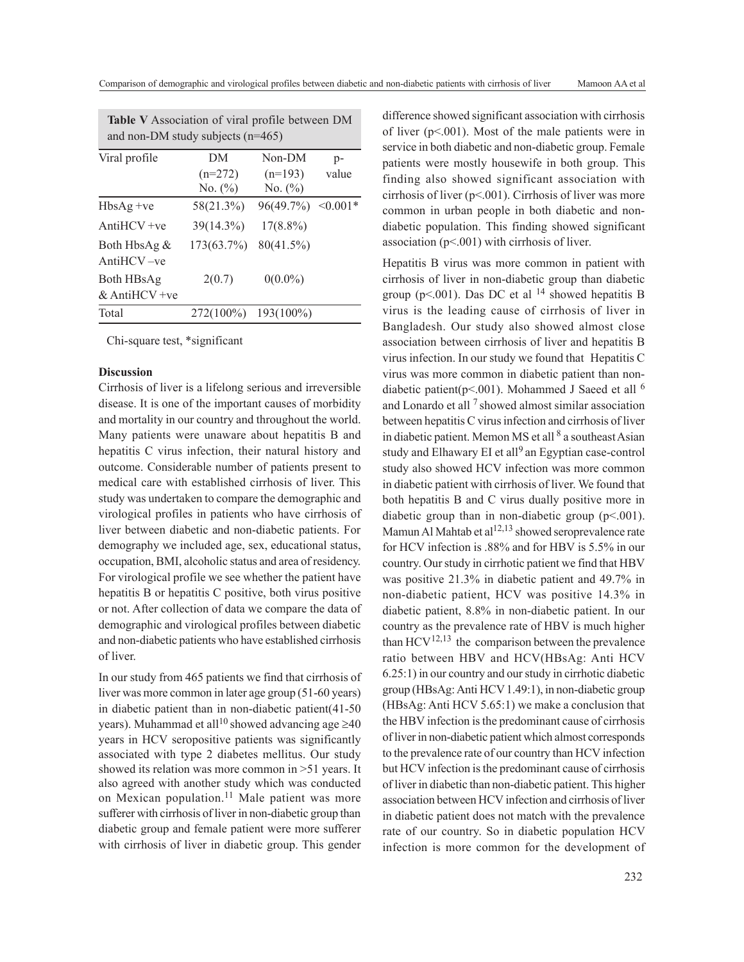| Table V Association of viral profile between DM<br>and non-DM study subjects $(n=465)$ |            |             |               |  |
|----------------------------------------------------------------------------------------|------------|-------------|---------------|--|
| Viral profile                                                                          | DM         | Non-DM      | $p-$          |  |
|                                                                                        | $(n=272)$  | $(n=193)$   | value         |  |
|                                                                                        | No. $(\%)$ | No. $(\% )$ |               |  |
| $HbsAg +ve$                                                                            | 58(21.3%)  | 96(49.7%)   | $\leq 0.001*$ |  |
| $AntiHCV +ve$                                                                          | 39(14.3%)  | $17(8.8\%)$ |               |  |
| Both HbsAg &                                                                           | 173(63.7%) | 80(41.5%)   |               |  |
| $AntiHCV -ve$                                                                          |            |             |               |  |
| Both HBsAg                                                                             | 2(0.7)     | $0(0.0\%)$  |               |  |
| & AntiHCV + $ve$                                                                       |            |             |               |  |
| Total                                                                                  | 272(100%)  | 193(100%)   |               |  |

Chi-square test, \*significant

#### **Discussion**

Cirrhosis of liver is a lifelong serious and irreversible disease. It is one of the important causes of morbidity and mortality in our country and throughout the world. Many patients were unaware about hepatitis B and hepatitis C virus infection, their natural history and outcome. Considerable number of patients present to medical care with established cirrhosis of liver. This study was undertaken to compare the demographic and virological profiles in patients who have cirrhosis of liver between diabetic and non-diabetic patients. For demography we included age, sex, educational status, occupation, BMI, alcoholic status and area of residency. For virological profile we see whether the patient have hepatitis B or hepatitis C positive, both virus positive or not. After collection of data we compare the data of demographic and virological profiles between diabetic and non-diabetic patients who have established cirrhosis of liver.

In our study from 465 patients we find that cirrhosis of liver was more common in later age group (51-60 years) in diabetic patient than in non-diabetic patient(41-50 years). Muhammad et all<sup>10</sup> showed advancing age  $\geq 40$ years in HCV seropositive patients was significantly associated with type 2 diabetes mellitus. Our study showed its relation was more common in >51 years. It also agreed with another study which was conducted on Mexican population.<sup>11</sup> Male patient was more sufferer with cirrhosis of liver in non-diabetic group than diabetic group and female patient were more sufferer with cirrhosis of liver in diabetic group. This gender

difference showed significant association with cirrhosis of liver (p<.001). Most of the male patients were in service in both diabetic and non-diabetic group. Female patients were mostly housewife in both group. This finding also showed significant association with cirrhosis of liver (p<.001). Cirrhosis of liver was more common in urban people in both diabetic and nondiabetic population. This finding showed significant association (p<.001) with cirrhosis of liver.

Hepatitis B virus was more common in patient with cirrhosis of liver in non-diabetic group than diabetic group (p<.001). Das DC et al  $^{14}$  showed hepatitis B virus is the leading cause of cirrhosis of liver in Bangladesh. Our study also showed almost close association between cirrhosis of liver and hepatitis B virus infection. In our study we found that Hepatitis C virus was more common in diabetic patient than nondiabetic patient( $p$ <.001). Mohammed J Saeed et all  $^6$ and Lonardo et all  $<sup>7</sup>$  showed almost similar association</sup> between hepatitis C virus infection and cirrhosis of liver in diabetic patient. Memon MS et all <sup>8</sup> a southeast Asian study and Elhawary EI et all<sup>9</sup> an Egyptian case-control study also showed HCV infection was more common in diabetic patient with cirrhosis of liver. We found that both hepatitis B and C virus dually positive more in diabetic group than in non-diabetic group (p<.001). Mamun Al Mahtab et al<sup>12,13</sup> showed seroprevalence rate for HCV infection is .88% and for HBV is 5.5% in our country. Our study in cirrhotic patient we find that HBV was positive 21.3% in diabetic patient and 49.7% in non-diabetic patient, HCV was positive 14.3% in diabetic patient, 8.8% in non-diabetic patient. In our country as the prevalence rate of HBV is much higher than  $HCV^{12,13}$  the comparison between the prevalence ratio between HBV and HCV(HBsAg: Anti HCV 6.25:1) in our country and our study in cirrhotic diabetic group (HBsAg: Anti HCV 1.49:1), in non-diabetic group (HBsAg: Anti HCV 5.65:1) we make a conclusion that the HBV infection is the predominant cause of cirrhosis of liver in non-diabetic patient which almost corresponds to the prevalence rate of our country than HCV infection but HCV infection is the predominant cause of cirrhosis of liver in diabetic than non-diabetic patient. This higher association between HCV infection and cirrhosis of liver in diabetic patient does not match with the prevalence rate of our country. So in diabetic population HCV infection is more common for the development of